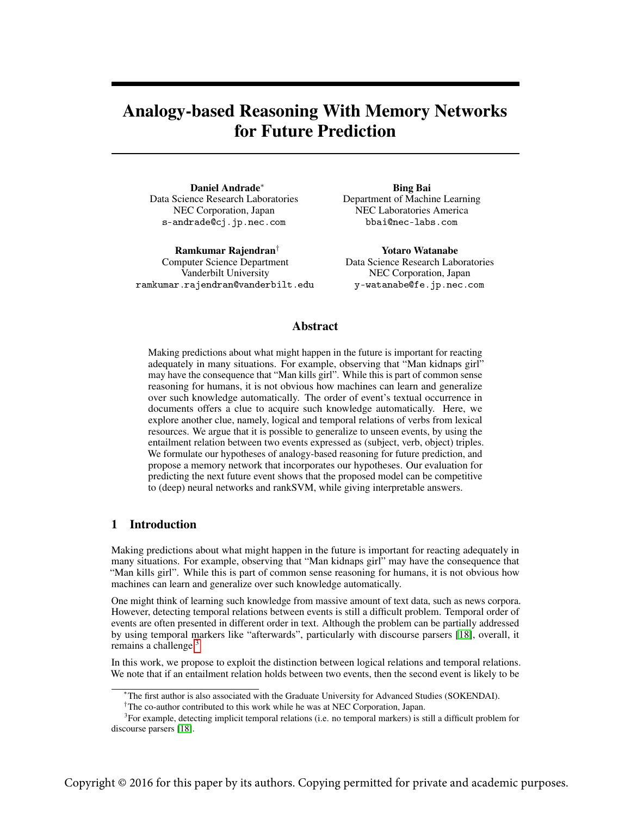# <span id="page-0-1"></span>Analogy-based Reasoning With Memory Networks for Future Prediction

Daniel Andrade<sup>∗</sup> Data Science Research Laboratories NEC Corporation, Japan s-andrade@cj.jp.nec.com

Ramkumar Rajendran† Computer Science Department Vanderbilt University ramkumar.rajendran@vanderbilt.edu

Bing Bai Department of Machine Learning NEC Laboratories America bbai@nec-labs.com

Yotaro Watanabe Data Science Research Laboratories NEC Corporation, Japan y-watanabe@fe.jp.nec.com

# Abstract

Making predictions about what might happen in the future is important for reacting adequately in many situations. For example, observing that "Man kidnaps girl" may have the consequence that "Man kills girl". While this is part of common sense reasoning for humans, it is not obvious how machines can learn and generalize over such knowledge automatically. The order of event's textual occurrence in documents offers a clue to acquire such knowledge automatically. Here, we explore another clue, namely, logical and temporal relations of verbs from lexical resources. We argue that it is possible to generalize to unseen events, by using the entailment relation between two events expressed as (subject, verb, object) triples. We formulate our hypotheses of analogy-based reasoning for future prediction, and propose a memory network that incorporates our hypotheses. Our evaluation for predicting the next future event shows that the proposed model can be competitive to (deep) neural networks and rankSVM, while giving interpretable answers.

# 1 Introduction

Making predictions about what might happen in the future is important for reacting adequately in many situations. For example, observing that "Man kidnaps girl" may have the consequence that "Man kills girl". While this is part of common sense reasoning for humans, it is not obvious how machines can learn and generalize over such knowledge automatically.

One might think of learning such knowledge from massive amount of text data, such as news corpora. However, detecting temporal relations between events is still a difficult problem. Temporal order of events are often presented in different order in text. Although the problem can be partially addressed by using temporal markers like "afterwards", particularly with discourse parsers [\[18\]](#page-8-0), overall, it remains a challenge.<sup>[3](#page-0-0)</sup>

In this work, we propose to exploit the distinction between logical relations and temporal relations. We note that if an entailment relation holds between two events, then the second event is likely to be

<sup>∗</sup>The first author is also associated with the Graduate University for Advanced Studies (SOKENDAI).

<span id="page-0-0"></span><sup>†</sup>The co-author contributed to this work while he was at NEC Corporation, Japan.

<sup>&</sup>lt;sup>3</sup>For example, detecting implicit temporal relations (i.e. no temporal markers) is still a difficult problem for discourse parsers [\[18\]](#page-8-0).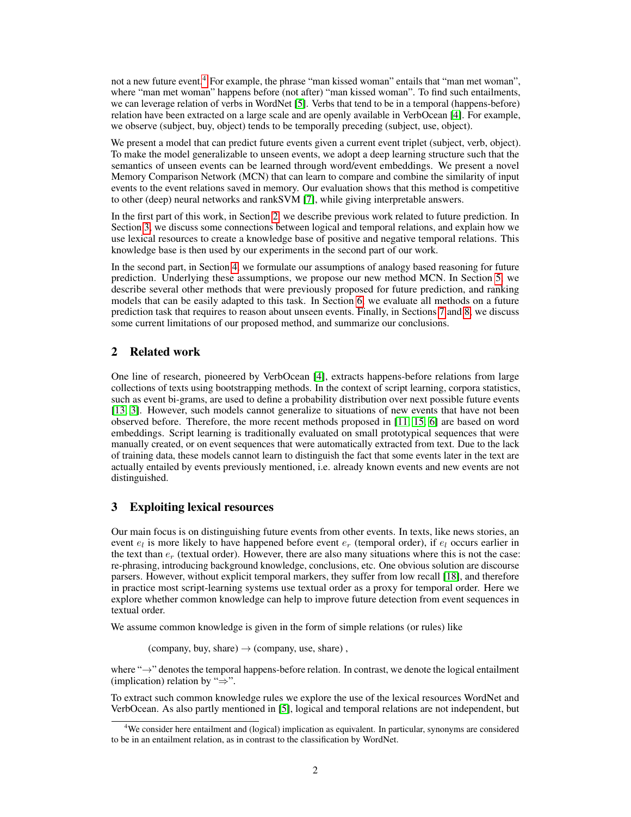not a new future event.<sup>[4](#page-1-0)</sup> For example, the phrase "man kissed woman" entails that "man met woman", where "man met woman" happens before (not after) "man kissed woman". To find such entailments, we can leverage relation of verbs in WordNet [\[5\]](#page-8-1). Verbs that tend to be in a temporal (happens-before) relation have been extracted on a large scale and are openly available in VerbOcean [\[4\]](#page-8-2). For example, we observe (subject, buy, object) tends to be temporally preceding (subject, use, object).

We present a model that can predict future events given a current event triplet (subject, verb, object). To make the model generalizable to unseen events, we adopt a deep learning structure such that the semantics of unseen events can be learned through word/event embeddings. We present a novel Memory Comparison Network (MCN) that can learn to compare and combine the similarity of input events to the event relations saved in memory. Our evaluation shows that this method is competitive to other (deep) neural networks and rankSVM [\[7\]](#page-8-3), while giving interpretable answers.

In the first part of this work, in Section [2,](#page-1-1) we describe previous work related to future prediction. In Section [3,](#page-1-2) we discuss some connections between logical and temporal relations, and explain how we use lexical resources to create a knowledge base of positive and negative temporal relations. This knowledge base is then used by our experiments in the second part of our work.

In the second part, in Section [4,](#page-3-0) we formulate our assumptions of analogy based reasoning for future prediction. Underlying these assumptions, we propose our new method MCN. In Section [5,](#page-5-0) we describe several other methods that were previously proposed for future prediction, and ranking models that can be easily adapted to this task. In Section [6,](#page-5-1) we evaluate all methods on a future prediction task that requires to reason about unseen events. Finally, in Sections [7](#page-7-0) and [8,](#page-7-1) we discuss some current limitations of our proposed method, and summarize our conclusions.

# <span id="page-1-1"></span>2 Related work

One line of research, pioneered by VerbOcean [\[4\]](#page-8-2), extracts happens-before relations from large collections of texts using bootstrapping methods. In the context of script learning, corpora statistics, such as event bi-grams, are used to define a probability distribution over next possible future events [\[13,](#page-8-4) [3\]](#page-8-5). However, such models cannot generalize to situations of new events that have not been observed before. Therefore, the more recent methods proposed in [\[11,](#page-8-6) [15,](#page-8-7) [6\]](#page-8-8) are based on word embeddings. Script learning is traditionally evaluated on small prototypical sequences that were manually created, or on event sequences that were automatically extracted from text. Due to the lack of training data, these models cannot learn to distinguish the fact that some events later in the text are actually entailed by events previously mentioned, i.e. already known events and new events are not distinguished.

## <span id="page-1-2"></span>3 Exploiting lexical resources

Our main focus is on distinguishing future events from other events. In texts, like news stories, an event  $e_l$  is more likely to have happened before event  $e_r$  (temporal order), if  $e_l$  occurs earlier in the text than  $e_r$  (textual order). However, there are also many situations where this is not the case: re-phrasing, introducing background knowledge, conclusions, etc. One obvious solution are discourse parsers. However, without explicit temporal markers, they suffer from low recall [\[18\]](#page-8-0), and therefore in practice most script-learning systems use textual order as a proxy for temporal order. Here we explore whether common knowledge can help to improve future detection from event sequences in textual order.

We assume common knowledge is given in the form of simple relations (or rules) like

(company, buy, share)  $\rightarrow$  (company, use, share),

where "→" denotes the temporal happens-before relation. In contrast, we denote the logical entailment (implication) relation by " $\Rightarrow$ ".

To extract such common knowledge rules we explore the use of the lexical resources WordNet and VerbOcean. As also partly mentioned in [\[5\]](#page-8-1), logical and temporal relations are not independent, but

<span id="page-1-0"></span><sup>4</sup>We consider here entailment and (logical) implication as equivalent. In particular, synonyms are considered to be in an entailment relation, as in contrast to the classification by WordNet.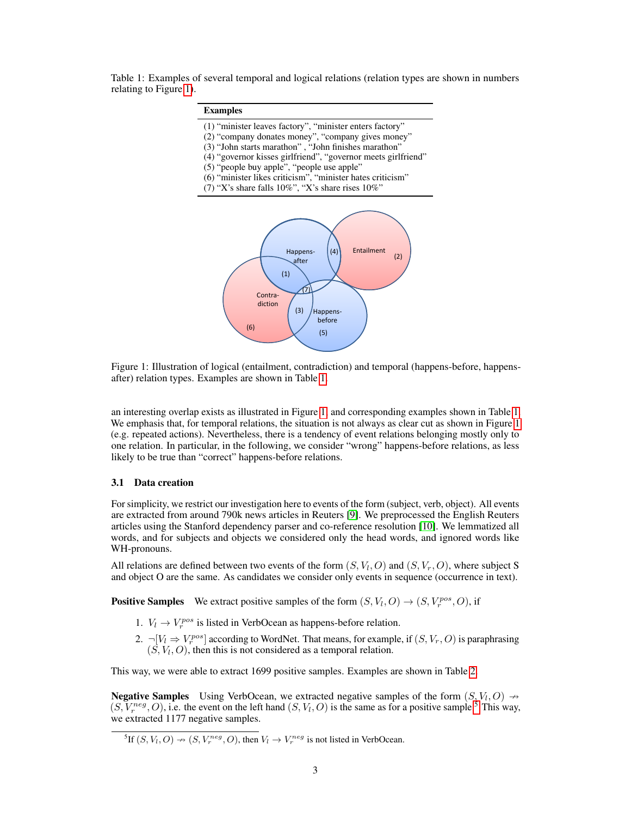<span id="page-2-1"></span>Table 1: Examples of several temporal and logical relations (relation types are shown in numbers relating to Figure [1\)](#page-2-0).

| <b>Examples</b>                                                                                                                                                                                                                                                                                                                                                                                                 |
|-----------------------------------------------------------------------------------------------------------------------------------------------------------------------------------------------------------------------------------------------------------------------------------------------------------------------------------------------------------------------------------------------------------------|
| (1) "minister leaves factory", "minister enters factory"<br>(2) "company donates money", "company gives money"<br>(3) "John starts marathon", "John finishes marathon"<br>(4) "governor kisses girlfriend", "governor meets girlfriend"<br>(5) "people buy apple", "people use apple"<br>(6) "minister likes criticism", "minister hates criticism"<br>(7) "X's share falls $10\%$ ", "X's share rises $10\%$ " |
| Entailment<br>(4)<br>Happens-<br>(2)<br>after<br>(1)<br>Contra-<br>diction<br>(3)<br>Happens-<br>before<br>(6)<br>(5)                                                                                                                                                                                                                                                                                           |

<span id="page-2-0"></span>Figure 1: Illustration of logical (entailment, contradiction) and temporal (happens-before, happensafter) relation types. Examples are shown in Table [1.](#page-2-1)

an interesting overlap exists as illustrated in Figure [1,](#page-2-0) and corresponding examples shown in Table [1.](#page-2-1) We emphasis that, for temporal relations, the situation is not always as clear cut as shown in Figure [1](#page-2-0) (e.g. repeated actions). Nevertheless, there is a tendency of event relations belonging mostly only to one relation. In particular, in the following, we consider "wrong" happens-before relations, as less likely to be true than "correct" happens-before relations.

## <span id="page-2-3"></span>3.1 Data creation

For simplicity, we restrict our investigation here to events of the form (subject, verb, object). All events are extracted from around 790k news articles in Reuters [\[9\]](#page-8-9). We preprocessed the English Reuters articles using the Stanford dependency parser and co-reference resolution [\[10\]](#page-8-10). We lemmatized all words, and for subjects and objects we considered only the head words, and ignored words like WH-pronouns.

All relations are defined between two events of the form  $(S, V_l, O)$  and  $(S, V_r, O)$ , where subject S and object O are the same. As candidates we consider only events in sequence (occurrence in text).

**Positive Samples** We extract positive samples of the form  $(S, V_l, O) \rightarrow (S, V_r^{pos}, O)$ , if

- 1.  $V_l \rightarrow V_r^{pos}$  is listed in VerbOcean as happens-before relation.
- 2.  $\neg[V_i \Rightarrow V_r^{pos}]$  according to WordNet. That means, for example, if  $(S, V_r, O)$  is paraphrasing  $(S, V_l, O)$ , then this is not considered as a temporal relation.

This way, we were able to extract 1699 positive samples. Examples are shown in Table [2.](#page-3-1)

**Negative Samples** Using VerbOcean, we extracted negative samples of the form  $(S, V_l, O) \rightarrow$  $(S, V_r^{neg}, O)$ , i.e. the event on the left hand  $(S, V_l, O)$  is the same as for a positive sample.<sup>[5](#page-2-2)</sup> This way, we extracted 1177 negative samples.

<span id="page-2-2"></span><sup>&</sup>lt;sup>5</sup>If  $(S, V_l, O) \rightarrow (S, V_r^{neg}, O)$ , then  $V_l \rightarrow V_r^{neg}$  is not listed in VerbOcean.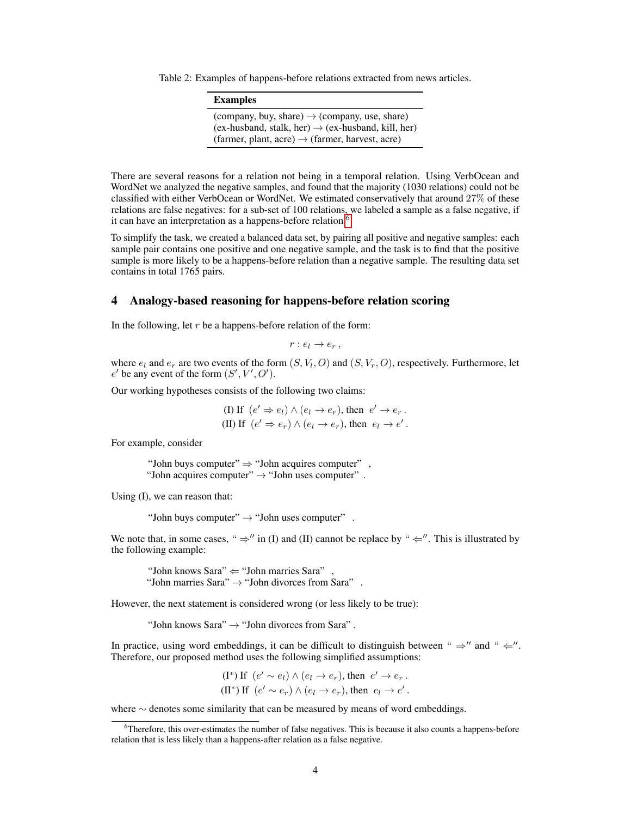Table 2: Examples of happens-before relations extracted from news articles.

<span id="page-3-1"></span>

| <b>Examples</b>                                                                                                                                                                            |
|--------------------------------------------------------------------------------------------------------------------------------------------------------------------------------------------|
| (company, buy, share) $\rightarrow$ (company, use, share)<br>$(ex-husband, stalk, her) \rightarrow (ex-husband, kill, her)$<br>(farmer, plant, acre) $\rightarrow$ (farmer, harvest, acre) |

There are several reasons for a relation not being in a temporal relation. Using VerbOcean and WordNet we analyzed the negative samples, and found that the majority (1030 relations) could not be classified with either VerbOcean or WordNet. We estimated conservatively that around 27% of these relations are false negatives: for a sub-set of 100 relations, we labeled a sample as a false negative, if it can have an interpretation as a happens-before relation.<sup>[6](#page-3-2)</sup>

To simplify the task, we created a balanced data set, by pairing all positive and negative samples: each sample pair contains one positive and one negative sample, and the task is to find that the positive sample is more likely to be a happens-before relation than a negative sample. The resulting data set contains in total 1765 pairs.

## <span id="page-3-0"></span>4 Analogy-based reasoning for happens-before relation scoring

In the following, let  $r$  be a happens-before relation of the form:

 $r : e_l \to e_r$ ,

where  $e_l$  and  $e_r$  are two events of the form  $(S, V_l, O)$  and  $(S, V_r, O)$ , respectively. Furthermore, let  $e'$  be any event of the form  $(S', V', O')$ .

Our working hypotheses consists of the following two claims:

(I) If  $(e' \Rightarrow e_l) \land (e_l \rightarrow e_r)$ , then  $e' \rightarrow e_r$ . (II) If  $(e' \Rightarrow e_r) \land (e_l \rightarrow e_r)$ , then  $e_l \rightarrow e'$ .

For example, consider

"John buys computer" ⇒ "John acquires computer" , "John acquires computer"  $\rightarrow$  "John uses computer".

Using (I), we can reason that:

"John buys computer"  $\rightarrow$  "John uses computer".

We note that, in some cases, "  $\Rightarrow$ " in (I) and (II) cannot be replace by "  $\Leftarrow$ ". This is illustrated by the following example:

"John knows Sara"  $\Leftarrow$  "John marries Sara", "John marries Sara"  $\rightarrow$  "John divorces from Sara".

However, the next statement is considered wrong (or less likely to be true):

"John knows Sara"  $\rightarrow$  "John divorces from Sara".

In practice, using word embeddings, it can be difficult to distinguish between "  $\Rightarrow$  " and "  $\Leftarrow$ ". Therefore, our proposed method uses the following simplified assumptions:

(I<sup>\*</sup>) If 
$$
(e' \sim e_l) \land (e_l \rightarrow e_r)
$$
, then  $e' \rightarrow e_r$ .  
(II<sup>\*</sup>) If  $(e' \sim e_r) \land (e_l \rightarrow e_r)$ , then  $e_l \rightarrow e'$ .

where ∼ denotes some similarity that can be measured by means of word embeddings.

<span id="page-3-2"></span><sup>6</sup>Therefore, this over-estimates the number of false negatives. This is because it also counts a happens-before relation that is less likely than a happens-after relation as a false negative.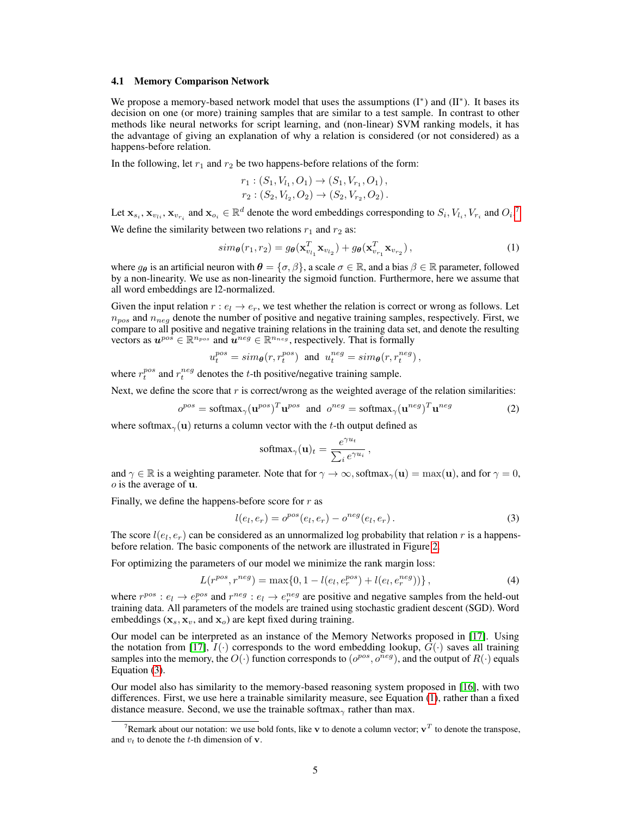#### 4.1 Memory Comparison Network

We propose a memory-based network model that uses the assumptions (I<sup>\*</sup>) and (II<sup>\*</sup>). It bases its decision on one (or more) training samples that are similar to a test sample. In contrast to other methods like neural networks for script learning, and (non-linear) SVM ranking models, it has the advantage of giving an explanation of why a relation is considered (or not considered) as a happens-before relation.

In the following, let  $r_1$  and  $r_2$  be two happens-before relations of the form:

<span id="page-4-2"></span>
$$
r_1: (S_1, V_{l_1}, O_1) \to (S_1, V_{r_1}, O_1),
$$
  

$$
r_2: (S_2, V_{l_2}, O_2) \to (S_2, V_{r_2}, O_2).
$$

Let  $\mathbf{x}_{s_i}, \mathbf{x}_{v_{t_i}}, \mathbf{x}_{v_{r_i}}$  and  $\mathbf{x}_{o_i} \in \mathbb{R}^d$  denote the word embeddings corresponding to  $S_i, V_{l_i}, V_{r_i}$  and  $O_i$ .<sup>[7](#page-4-0)</sup> We define the similarity between two relations  $r_1$  and  $r_2$  as:

$$
sim_{\boldsymbol{\theta}}(r_1, r_2) = g_{\boldsymbol{\theta}}(\mathbf{x}_{v_{l_1}}^T \mathbf{x}_{v_{l_2}}) + g_{\boldsymbol{\theta}}(\mathbf{x}_{v_{r_1}}^T \mathbf{x}_{v_{r_2}}),
$$
\n(1)

where  $g_{\theta}$  is an artificial neuron with  $\theta = \{\sigma, \beta\}$ , a scale  $\sigma \in \mathbb{R}$ , and a bias  $\beta \in \mathbb{R}$  parameter, followed by a non-linearity. We use as non-linearity the sigmoid function. Furthermore, here we assume that all word embeddings are l2-normalized.

Given the input relation  $r : e_l \to e_r$ , we test whether the relation is correct or wrong as follows. Let  $n_{pos}$  and  $n_{neg}$  denote the number of positive and negative training samples, respectively. First, we compare to all positive and negative training relations in the training data set, and denote the resulting vectors as  $u^{pos} \in \mathbb{R}^{n_{pos}}$  and  $u^{neg} \in \mathbb{R}^{n_{neg}}$ , respectively. That is formally

 $u_t^{pos} = sim_{\theta}(r, r_t^{pos})$  and  $u_t^{neg} = sim_{\theta}(r, r_t^{neg})$ ,

where  $r_t^{pos}$  and  $r_t^{neg}$  denotes the t-th positive/negative training sample.

Next, we define the score that  $r$  is correct/wrong as the weighted average of the relation similarities:

$$
o^{pos} = \text{softmax}_{\gamma}(\mathbf{u}^{pos})^T \mathbf{u}^{pos} \text{ and } o^{neg} = \text{softmax}_{\gamma}(\mathbf{u}^{neg})^T \mathbf{u}^{neg} \tag{2}
$$

where softmax<sub> $\gamma$ </sub>(**u**) returns a column vector with the t-th output defined as

$$
\text{softmax}_{\gamma}(\mathbf{u})_t = \frac{e^{\gamma u_t}}{\sum_i e^{\gamma u_i}}
$$

and  $\gamma \in \mathbb{R}$  is a weighting parameter. Note that for  $\gamma \to \infty$ , softmax<sub> $\gamma$ </sub>(**u**) = max(**u**), and for  $\gamma = 0$ ,  $o$  is the average of  $u$ .

Finally, we define the happens-before score for  $r$  as

$$
l(e_l, e_r) = o^{pos}(e_l, e_r) - o^{neg}(e_l, e_r).
$$
\n(3)

<span id="page-4-4"></span><span id="page-4-3"></span><span id="page-4-1"></span>,

The score  $l(e_l, e_r)$  can be considered as an unnormalized log probability that relation r is a happensbefore relation. The basic components of the network are illustrated in Figure [2.](#page-5-2)

For optimizing the parameters of our model we minimize the rank margin loss:

$$
L(r^{pos}, r^{neg}) = \max\{0, 1 - l(e_l, e_r^{pos}) + l(e_l, e_r^{neg}))\},\tag{4}
$$

where  $r^{pos}: e_l \to e_r^{pos}$  and  $r^{neg}: e_l \to e_r^{neg}$  are positive and negative samples from the held-out training data. All parameters of the models are trained using stochastic gradient descent (SGD). Word embeddings  $(\mathbf{x}_s, \mathbf{x}_v, \text{ and } \mathbf{x}_o)$  are kept fixed during training.

Our model can be interpreted as an instance of the Memory Networks proposed in [\[17\]](#page-8-11). Using the notation from [\[17\]](#page-8-11),  $I(\cdot)$  corresponds to the word embedding lookup,  $G(\cdot)$  saves all training samples into the memory, the  $O(\cdot)$  function corresponds to  $(o^{pos}, o^{neg})$ , and the output of  $R(\cdot)$  equals Equation [\(3\)](#page-4-1).

Our model also has similarity to the memory-based reasoning system proposed in [\[16\]](#page-8-12), with two differences. First, we use here a trainable similarity measure, see Equation [\(1\)](#page-4-2), rather than a fixed distance measure. Second, we use the trainable softmax<sub> $\gamma$ </sub> rather than max.

<span id="page-4-0"></span><sup>&</sup>lt;sup>7</sup>Remark about our notation: we use bold fonts, like v to denote a column vector;  $v^T$  to denote the transpose, and  $v_t$  to denote the t-th dimension of **v**.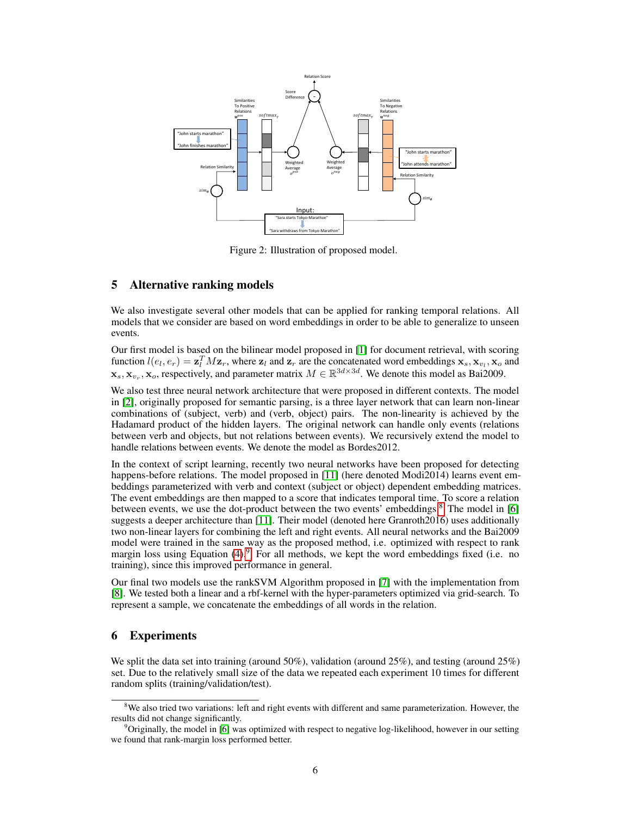

<span id="page-5-2"></span>Figure 2: Illustration of proposed model.

# <span id="page-5-0"></span>5 Alternative ranking models

We also investigate several other models that can be applied for ranking temporal relations. All models that we consider are based on word embeddings in order to be able to generalize to unseen events.

Our first model is based on the bilinear model proposed in [\[1\]](#page-8-13) for document retrieval, with scoring function  $l(e_l, e_r) = \mathbf{z}_l^T M \mathbf{z}_r$ , where  $\mathbf{z}_l$  and  $\mathbf{z}_r$  are the concatenated word embeddings  $\mathbf{x}_s, \mathbf{x}_{v_l}, \mathbf{x}_o$  and  $\mathbf{x}_s, \mathbf{x}_{v_r}, \mathbf{x}_o$ , respectively, and parameter matrix  $M \in \mathbb{R}^{3d \times 3d}$ . We denote this model as Bai2009.

We also test three neural network architecture that were proposed in different contexts. The model in [\[2\]](#page-8-14), originally proposed for semantic parsing, is a three layer network that can learn non-linear combinations of (subject, verb) and (verb, object) pairs. The non-linearity is achieved by the Hadamard product of the hidden layers. The original network can handle only events (relations between verb and objects, but not relations between events). We recursively extend the model to handle relations between events. We denote the model as Bordes2012.

In the context of script learning, recently two neural networks have been proposed for detecting happens-before relations. The model proposed in [\[11\]](#page-8-6) (here denoted Modi2014) learns event embeddings parameterized with verb and context (subject or object) dependent embedding matrices. The event embeddings are then mapped to a score that indicates temporal time. To score a relation between events, we use the dot-product between the two events' embeddings.<sup>[8](#page-5-3)</sup> The model in [\[6\]](#page-8-8) suggests a deeper architecture than [\[11\]](#page-8-6). Their model (denoted here Granroth2016) uses additionally two non-linear layers for combining the left and right events. All neural networks and the Bai2009 model were trained in the same way as the proposed method, i.e. optimized with respect to rank margin loss using Equation [\(4\)](#page-4-3).<sup>[9](#page-5-4)</sup> For all methods, we kept the word embeddings fixed (i.e. no training), since this improved performance in general.

Our final two models use the rankSVM Algorithm proposed in [\[7\]](#page-8-3) with the implementation from [\[8\]](#page-8-15). We tested both a linear and a rbf-kernel with the hyper-parameters optimized via grid-search. To represent a sample, we concatenate the embeddings of all words in the relation.

# <span id="page-5-1"></span>6 Experiments

We split the data set into training (around 50%), validation (around 25%), and testing (around 25%) set. Due to the relatively small size of the data we repeated each experiment 10 times for different random splits (training/validation/test).

<span id="page-5-3"></span><sup>&</sup>lt;sup>8</sup>We also tried two variations: left and right events with different and same parameterization. However, the results did not change significantly.

<span id="page-5-4"></span><sup>9</sup>Originally, the model in [\[6\]](#page-8-8) was optimized with respect to negative log-likelihood, however in our setting we found that rank-margin loss performed better.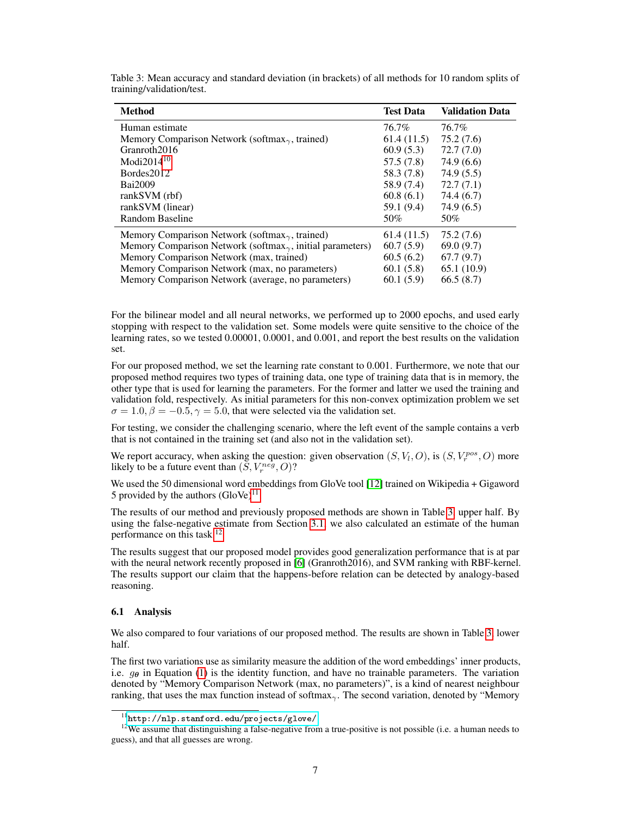| <b>Method</b>                                                        | <b>Test Data</b> | <b>Validation Data</b> |
|----------------------------------------------------------------------|------------------|------------------------|
| Human estimate                                                       | 76.7%            | 76.7%                  |
| Memory Comparison Network (softmax $_{\gamma}$ , trained)            | 61.4(11.5)       | 75.2(7.6)              |
| Granroth <sub>2016</sub>                                             | 60.9(5.3)        | 72.7(7.0)              |
| Modi $2014^{10}$                                                     | 57.5(7.8)        | 74.9(6.6)              |
| Bordes2012                                                           | 58.3 (7.8)       | 74.9(5.5)              |
| Bai2009                                                              | 58.9 (7.4)       | 72.7(7.1)              |
| rankSVM (rbf)                                                        | 60.8(6.1)        | 74.4 (6.7)             |
| rankSVM (linear)                                                     | 59.1 (9.4)       | 74.9 (6.5)             |
| Random Baseline                                                      | 50%              | 50%                    |
| Memory Comparison Network (softmax $_{\gamma}$ , trained)            | 61.4(11.5)       | 75.2 (7.6)             |
| Memory Comparison Network (softmax $_{\gamma}$ , initial parameters) | 60.7(5.9)        | 69.0(9.7)              |
| Memory Comparison Network (max, trained)                             | 60.5(6.2)        | 67.7(9.7)              |
| Memory Comparison Network (max, no parameters)                       | 60.1(5.8)        | 65.1(10.9)             |
| Memory Comparison Network (average, no parameters)                   | 60.1(5.9)        | 66.5(8.7)              |

<span id="page-6-1"></span>Table 3: Mean accuracy and standard deviation (in brackets) of all methods for 10 random splits of training/validation/test.

For the bilinear model and all neural networks, we performed up to 2000 epochs, and used early stopping with respect to the validation set. Some models were quite sensitive to the choice of the learning rates, so we tested 0.00001, 0.0001, and 0.001, and report the best results on the validation set.

For our proposed method, we set the learning rate constant to 0.001. Furthermore, we note that our proposed method requires two types of training data, one type of training data that is in memory, the other type that is used for learning the parameters. For the former and latter we used the training and validation fold, respectively. As initial parameters for this non-convex optimization problem we set  $\sigma = 1.0, \beta = -0.5, \gamma = 5.0$ , that were selected via the validation set.

For testing, we consider the challenging scenario, where the left event of the sample contains a verb that is not contained in the training set (and also not in the validation set).

We report accuracy, when asking the question: given observation  $(S, V_l, O)$ , is  $(S, V_r^{pos}, O)$  more likely to be a future event than  $(\tilde{S}, V^{neg}_r, O)$ ?

We used the 50 dimensional word embeddings from GloVe tool [\[12\]](#page-8-16) trained on Wikipedia + Gigaword 5 provided by the authors  $(GloVe)^{11}$  $(GloVe)^{11}$  $(GloVe)^{11}$ .

The results of our method and previously proposed methods are shown in Table [3,](#page-6-1) upper half. By using the false-negative estimate from Section [3.1,](#page-2-3) we also calculated an estimate of the human performance on this task.[12](#page-6-2)

The results suggest that our proposed model provides good generalization performance that is at par with the neural network recently proposed in [\[6\]](#page-8-8) (Granroth2016), and SVM ranking with RBF-kernel. The results support our claim that the happens-before relation can be detected by analogy-based reasoning.

#### 6.1 Analysis

We also compared to four variations of our proposed method. The results are shown in Table [3,](#page-6-1) lower half.

The first two variations use as similarity measure the addition of the word embeddings' inner products, i.e.  $q_{\theta}$  in Equation [\(1\)](#page-4-2) is the identity function, and have no trainable parameters. The variation denoted by "Memory Comparison Network (max, no parameters)", is a kind of nearest neighbour ranking, that uses the max function instead of softmax<sub>γ</sub>. The second variation, denoted by "Memory"

<span id="page-6-2"></span><span id="page-6-0"></span> $^{11}\texttt{http://nlp.stanford.edu/projects/glove/}$  $^{11}\texttt{http://nlp.stanford.edu/projects/glove/}$  $^{11}\texttt{http://nlp.stanford.edu/projects/glove/}$ 

<sup>&</sup>lt;sup>12</sup>We assume that distinguishing a false-negative from a true-positive is not possible (i.e. a human needs to guess), and that all guesses are wrong.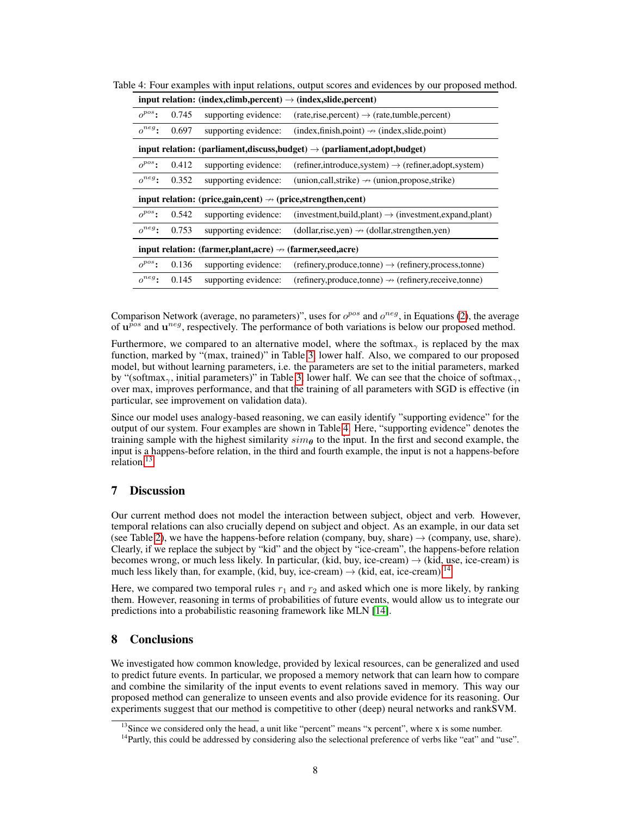<span id="page-7-2"></span>

|                                                                                         |       |                                                                          | input relation: (index,climb,percent) $\rightarrow$ (index,slide,percent) |  |
|-----------------------------------------------------------------------------------------|-------|--------------------------------------------------------------------------|---------------------------------------------------------------------------|--|
| $o^{pos}$ :                                                                             | 0.745 | supporting evidence:                                                     | $(rate, rise, percent) \rightarrow (rate, tunnel, percent)$               |  |
| $o^{neg}$ :                                                                             | 0.697 | supporting evidence:                                                     | $(index,finish,point) \rightarrow (index, slide, point)$                  |  |
| input relation: (parliament, discuss, budget) $\rightarrow$ (parliament, adopt, budget) |       |                                                                          |                                                                           |  |
| $o^{pos}$ :                                                                             | 0.412 | supporting evidence:                                                     | $(refiner, introduce, system) \rightarrow (refiner, adopt, system)$       |  |
| $o^{neg}$ :                                                                             | 0.352 | supporting evidence:                                                     | $(union, call, strike) \rightarrow (union, propose, strike)$              |  |
| input relation: (price,gain,cent) $\rightarrow$ (price,strengthen,cent)                 |       |                                                                          |                                                                           |  |
|                                                                                         |       |                                                                          |                                                                           |  |
| $o^{pos}$ :                                                                             | 0.542 | supporting evidence:                                                     | $(investment, build, plant) \rightarrow (investment, expand, plant)$      |  |
| $o^{neg}$ :                                                                             | 0.753 | supporting evidence:                                                     | $(dollar, rise, yen) \rightarrow (dollar, strengthen, yen)$               |  |
|                                                                                         |       | input relation: (farmer, plant, acre) $\rightarrow$ (farmer, seed, acre) |                                                                           |  |
| $o^{pos}$ :                                                                             | 0.136 | supporting evidence:                                                     | $(refinery, produce, tonne) \rightarrow (refinery, process, tonne)$       |  |

Table 4: Four examples with input relations, output scores and evidences by our proposed method.

Comparison Network (average, no parameters)", uses for  $o^{pos}$  and  $o^{neg}$ , in Equations [\(2\)](#page-4-4), the average of  $\mathbf{u}^{pos}$  and  $\mathbf{u}^{neg}$ , respectively. The performance of both variations is below our proposed method.

Furthermore, we compared to an alternative model, where the softmax<sub>γ</sub> is replaced by the max function, marked by "(max, trained)" in Table [3,](#page-6-1) lower half. Also, we compared to our proposed model, but without learning parameters, i.e. the parameters are set to the initial parameters, marked by "(softmax<sub>γ</sub>, initial parameters)" in Table [3,](#page-6-1) lower half. We can see that the choice of softmax<sub>γ</sub>, over max, improves performance, and that the training of all parameters with SGD is effective (in particular, see improvement on validation data).

Since our model uses analogy-based reasoning, we can easily identify "supporting evidence" for the output of our system. Four examples are shown in Table [4.](#page-7-2) Here, "supporting evidence" denotes the training sample with the highest similarity  $\sin\theta$  to the input. In the first and second example, the input is a happens-before relation, in the third and fourth example, the input is not a happens-before relation.[13](#page-7-3)

# <span id="page-7-0"></span>7 Discussion

Our current method does not model the interaction between subject, object and verb. However, temporal relations can also crucially depend on subject and object. As an example, in our data set (see Table [2\)](#page-3-1), we have the happens-before relation (company, buy, share)  $\rightarrow$  (company, use, share). Clearly, if we replace the subject by "kid" and the object by "ice-cream", the happens-before relation becomes wrong, or much less likely. In particular, (kid, buy, ice-cream)  $\rightarrow$  (kid, use, ice-cream) is much less likely than, for example, (kid, buy, ice-cream)  $\rightarrow$  (kid, eat, ice-cream).<sup>[14](#page-7-4)</sup>

Here, we compared two temporal rules  $r_1$  and  $r_2$  and asked which one is more likely, by ranking them. However, reasoning in terms of probabilities of future events, would allow us to integrate our predictions into a probabilistic reasoning framework like MLN [\[14\]](#page-8-17).

# <span id="page-7-1"></span>8 Conclusions

We investigated how common knowledge, provided by lexical resources, can be generalized and used to predict future events. In particular, we proposed a memory network that can learn how to compare and combine the similarity of the input events to event relations saved in memory. This way our proposed method can generalize to unseen events and also provide evidence for its reasoning. Our experiments suggest that our method is competitive to other (deep) neural networks and rankSVM.

<span id="page-7-3"></span><sup>&</sup>lt;sup>13</sup>Since we considered only the head, a unit like "percent" means "x percent", where x is some number.

<span id="page-7-4"></span><sup>&</sup>lt;sup>14</sup>Partly, this could be addressed by considering also the selectional preference of verbs like "eat" and "use".